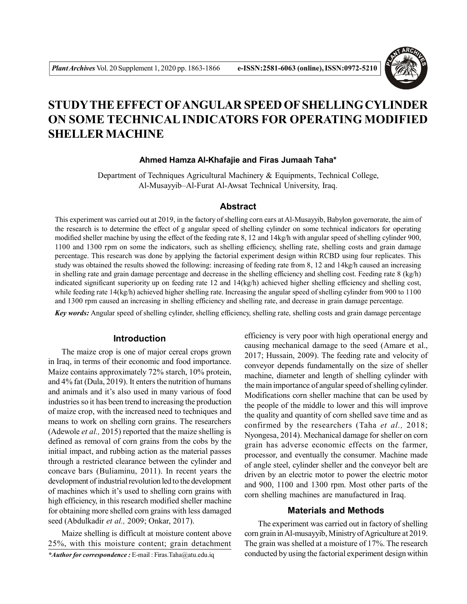

# **STUDYTHE EFFECT OFANGULAR SPEED OF SHELLING CYLINDER ON SOME TECHNICAL INDICATORS FOR OPERATING MODIFIED SHELLER MACHINE**

#### **Ahmed Hamza Al-Khafajie and Firas Jumaah Taha\***

Department of Techniques Agricultural Machinery & Equipments, Technical College, Al-Musayyib–Al-Furat Al-Awsat Technical University, Iraq.

## **Abstract**

This experiment was carried out at 2019, in the factory of shelling corn ears at Al-Musayyib, Babylon governorate, the aim of the research is to determine the effect of g angular speed of shelling cylinder on some technical indicators for operating modified sheller machine by using the effect of the feeding rate 8, 12 and 14kg/h with angular speed of shelling cylinder 900, 1100 and 1300 rpm on some the indicators, such as shelling efficiency, shelling rate, shelling costs and grain damage percentage. This research was done by applying the factorial experiment design within RCBD using four replicates. This study was obtained the results showed the following: increasing of feeding rate from 8, 12 and 14kg/h caused an increasing in shelling rate and grain damage percentage and decrease in the shelling efficiency and shelling cost. Feeding rate 8 (kg/h) indicated significant superiority up on feeding rate 12 and 14(kg/h) achieved higher shelling efficiency and shelling cost, while feeding rate 14(kg/h) achieved higher shelling rate. Increasing the angular speed of shelling cylinder from 900 to 1100 and 1300 rpm caused an increasing in shelling efficiency and shelling rate, and decrease in grain damage percentage.

*Key words:* Angular speed of shelling cylinder, shelling efficiency, shelling rate, shelling costs and grain damage percentage

#### **Introduction**

The maize crop is one of major cereal crops grown in Iraq, in terms of their economic and food importance. Maize contains approximately 72% starch, 10% protein, and 4% fat (Dula, 2019). It enters the nutrition of humans and animals and it's also used in many various of food industries so it has been trend to increasing the production of maize crop, with the increased need to techniques and means to work on shelling corn grains. The researchers (Adewole *et al.,* 2015) reported that the maize shelling is defined as removal of corn grains from the cobs by the initial impact, and rubbing action as the material passes through a restricted clearance between the cylinder and concave bars (Buliaminu, 2011). In recent years the development of industrial revolution led to the development of machines which it's used to shelling corn grains with high efficiency, in this research modified sheller machine for obtaining more shelled corn grains with less damaged seed (Abdulkadir *et al.,* 2009; Onkar, 2017).

Maize shelling is difficult at moisture content above 25%, with this moisture content; grain detachment *\*Author for correspondence :* E-mail : Firas.Taha@atu.edu.iq

efficiency is very poor with high operational energy and causing mechanical damage to the seed (Amare et al., 2017; Hussain, 2009). The feeding rate and velocity of conveyor depends fundamentally on the size of sheller machine, diameter and length of shelling cylinder with the main importance of angular speed of shelling cylinder. Modifications corn sheller machine that can be used by the people of the middle to lower and this will improve the quality and quantity of corn shelled save time and as confirmed by the researchers (Taha *et al.,* 2018; Nyongesa, 2014). Mechanical damage for sheller on corn grain has adverse economic effects on the farmer, processor, and eventually the consumer. Machine made of angle steel, cylinder sheller and the conveyor belt are driven by an electric motor to power the electric motor and 900, 1100 and 1300 rpm. Most other parts of the corn shelling machines are manufactured in Iraq.

#### **Materials and Methods**

The experiment was carried out in factory of shelling corn grain in Al-musayyib, Ministry of Agriculture at 2019. The grain was shelled at a moisture of 17%. The research conducted by using the factorial experiment design within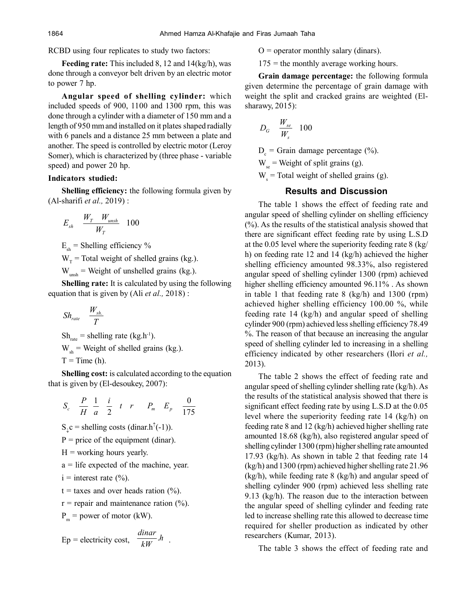RCBD using four replicates to study two factors:

**Feeding rate:** This included 8, 12 and 14(kg/h), was done through a conveyor belt driven by an electric motor to power 7 hp.

**Angular speed of shelling cylinder:** which included speeds of 900, 1100 and 1300 rpm, this was done through a cylinder with a diameter of 150 mm and a length of 950 mm and installed on it plates shaped radially with 6 panels and a distance 25 mm between a plate and another. The speed is controlled by electric motor (Leroy Somer), which is characterized by (three phase - variable speed) and power 20 hp.

#### **Indicators studied:**

**Shelling efficiency:** the following formula given by (Al-sharifi *et al.,* 2019) :

$$
E_{sh} \quad \frac{W_T \quad W_{unsh}}{W_T} \quad 100
$$

 $E<sub>sh</sub>$  = Shelling efficiency %

 $W_T$  = Total weight of shelled grains (kg.).

 $W_{unsh}$  = Weight of unshelled grains (kg.).

**Shelling rate:** It is calculated by using the following equation that is given by (Ali *et al.,* 2018) :

$$
Sh_{\scriptscriptstyle{rate}} \quad \frac{W_{\scriptscriptstyle{sh.}}}{T}
$$

 $Sh<sub>rate</sub> = shelling rate (kg.h<sup>-1</sup>).$  $W_{sh}$  = Weight of shelled grains (kg.).  $T = Time (h)$ .

**Shelling cost:** is calculated according to the equation that is given by (El-desoukey, 2007):

$$
S_c \quad \frac{P}{H} \quad \frac{1}{a} \quad \frac{i}{2} \quad t \quad r \qquad P_m \quad E_p \quad \frac{0}{175}
$$

 $S_{\downarrow}c$  = shelling costs (dinar.h<sup> $\uparrow$ </sup>(-1)).

 $P = price of the equipment (dinar).$ 

 $H =$  working hours yearly.

a = life expected of the machine, year.

 $i =$  interest rate  $(\frac{6}{6})$ .

 $t =$  taxes and over heads ration  $(\%).$ 

 $r =$  repair and maintenance ration  $(\%)$ .

.

 $P_m$  = power of motor (kW).

$$
Ep = electricity cost, \frac{dinar}{kW}.h
$$

 $O =$  operator monthly salary (dinars).

 $175$  = the monthly average working hours.

**Grain damage percentage:** the following formula given determine the percentage of grain damage with weight the split and cracked grains are weighted (Elsharawy, 2015):

$$
D_G \quad \frac{W_{se}}{W_s} \quad 100
$$

 $D_c$  = Grain damage percentage (%).

 $W_{\text{se}}$  = Weight of split grains (g).

 $W_s$  = Total weight of shelled grains (g).

## **Results and Discussion**

The table 1 shows the effect of feeding rate and angular speed of shelling cylinder on shelling efficiency (%). As the results of the statistical analysis showed that there are significant effect feeding rate by using L.S.D at the 0.05 level where the superiority feeding rate 8 (kg/ h) on feeding rate 12 and 14 (kg/h) achieved the higher shelling efficiency amounted 98.33%, also registered angular speed of shelling cylinder 1300 (rpm) achieved higher shelling efficiency amounted 96.11% . As shown in table 1 that feeding rate 8 (kg/h) and 1300 (rpm) achieved higher shelling efficiency 100.00 %, while feeding rate 14 (kg/h) and angular speed of shelling cylinder 900 (rpm) achieved less shelling efficiency 78.49 %. The reason of that because an increasing the angular speed of shelling cylinder led to increasing in a shelling efficiency indicated by other researchers (Ilori *et al.,* 2013).

The table 2 shows the effect of feeding rate and angular speed of shelling cylinder shelling rate (kg/h). As the results of the statistical analysis showed that there is significant effect feeding rate by using L.S.D at the 0.05 level where the superiority feeding rate 14 (kg/h) on feeding rate 8 and 12 (kg/h) achieved higher shelling rate amounted 18.68 (kg/h), also registered angular speed of shelling cylinder 1300 (rpm) higher shelling rate amounted 17.93 (kg/h). As shown in table 2 that feeding rate 14 (kg/h) and 1300 (rpm) achieved higher shelling rate 21.96 (kg/h), while feeding rate 8 (kg/h) and angular speed of shelling cylinder 900 (rpm) achieved less shelling rate 9.13 (kg/h). The reason due to the interaction between the angular speed of shelling cylinder and feeding rate led to increase shelling rate this allowed to decrease time required for sheller production as indicated by other researchers (Kumar, 2013).

The table 3 shows the effect of feeding rate and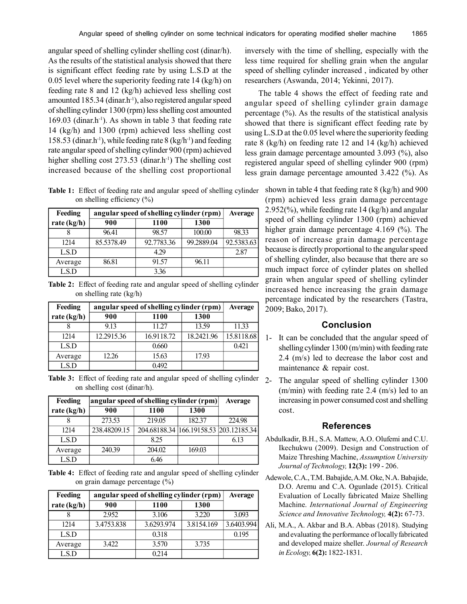angular speed of shelling cylinder shelling cost (dinar/h). As the results of the statistical analysis showed that there is significant effect feeding rate by using L.S.D at the 0.05 level where the superiority feeding rate 14 (kg/h) on feeding rate 8 and 12 (kg/h) achieved less shelling cost amounted 185.34 (dinar.h<sup>-1</sup>), also registered angular speed of shelling cylinder 1300 (rpm) less shelling cost amounted  $169.03$  (dinar.h<sup>-1</sup>). As shown in table 3 that feeding rate 14 (kg/h) and 1300 (rpm) achieved less shelling cost 158.53 (dinar.h<sup>-1</sup>), while feeding rate 8 (kg/h<sup>-1</sup>) and feeding rate angular speed of shelling cylinder 900 (rpm) achieved higher shelling cost  $273.53$  (dinar.h<sup>-1</sup>) The shelling cost increased because of the shelling cost proportional

**Table 1:** Effect of feeding rate and angular speed of shelling cylinder on shelling efficiency (%)

| Feeding       | angular speed of shelling cylinder (rpm) |             |            | <b>Average</b> |
|---------------|------------------------------------------|-------------|------------|----------------|
| rate $(kg/h)$ | 900                                      | <b>1100</b> | 1300       |                |
|               | 96.41                                    | 98.57       | 100.00     | 98.33          |
| 1214          | 85.5378.49                               | 92.7783.36  | 99.2889.04 | 92.5383.63     |
| LS.D          |                                          | 4.29        |            | 2.87           |
| Average       | 86.81                                    | 91.57       | 96.11      |                |
| LS.D          |                                          | 3.36        |            |                |

**Table 2:** Effect of feeding rate and angular speed of shelling cylinder on shelling rate (kg/h)

| Feeding     | angular speed of shelling cylinder (rpm) |            |            | <b>Average</b> |
|-------------|------------------------------------------|------------|------------|----------------|
| rate (kg/h) | 900                                      | 1100       | 1300       |                |
|             | 913                                      | 11.27      | 13.59      | 11.33          |
| 1214        | 12.2915.36                               | 16.9118.72 | 18.2421.96 | 15.8118.68     |
| LS.D        |                                          | 0.660      |            | 0.421          |
| Average     | 12.26                                    | 15.63      | 17.93      |                |
| L.S.D       |                                          | 0.492      |            |                |

Table 3: Effect of feeding rate and angular speed of shelling cylinder 2 on shelling cost (dinar/h).

| Feeding     | angular speed of shelling cylinder (rpm) |        |                                        | <b>Average</b> |
|-------------|------------------------------------------|--------|----------------------------------------|----------------|
| rate (kg/h) | 900                                      | 1100   | 1300                                   |                |
|             | 273.53                                   | 219.05 | 182.37                                 | 224.98         |
| 1214        | 238.48209.15                             |        | 204.68188.34 166.19158.53 203.12185.34 |                |
| LSD         |                                          | 825    |                                        | 6.13           |
| Average     | 240.39                                   | 204.02 | 169.03                                 |                |
| L.S.D       |                                          | 646    |                                        |                |

**Table 4:** Effect of feeding rate and angular speed of shelling cylinder on grain damage percentage (%)

| Feeding     | angular speed of shelling cylinder (rpm) |            |            | <b>Average</b> |
|-------------|------------------------------------------|------------|------------|----------------|
| rate (kg/h) | 900                                      | 1100       | 1300       |                |
|             | 2.952                                    | 3.106      | 3.220      | 3.093          |
| 1214        | 3.4753.838                               | 3.6293.974 | 3.8154.169 | 3.6403.994     |
| LSD         |                                          | 0.318      |            | 0.195          |
| Average     | 3.422                                    | 3.570      | 3.735      |                |
| LS.D        |                                          | 0.214      |            |                |

inversely with the time of shelling, especially with the less time required for shelling grain when the angular speed of shelling cylinder increased , indicated by other researchers (Aswanda, 2014; Yekinni, 2017).

The table 4 shows the effect of feeding rate and angular speed of shelling cylinder grain damage percentage (%). As the results of the statistical analysis showed that there is significant effect feeding rate by using L.S.D at the 0.05 level where the superiority feeding rate 8 (kg/h) on feeding rate 12 and 14 (kg/h) achieved less grain damage percentage amounted 3.093 (%), also registered angular speed of shelling cylinder 900 (rpm) less grain damage percentage amounted 3.422 (%). As

> shown in table 4 that feeding rate 8 (kg/h) and 900 (rpm) achieved less grain damage percentage 2.952(%), while feeding rate 14 (kg/h) and angular speed of shelling cylinder 1300 (rpm) achieved higher grain damage percentage 4.169 (%). The reason of increase grain damage percentage because is directly proportional to the angular speed of shelling cylinder, also because that there are so much impact force of cylinder plates on shelled grain when angular speed of shelling cylinder increased hence increasing the grain damage percentage indicated by the researchers (Tastra, 2009; Bako, 2017).

# **Conclusion**

- 1- It can be concluded that the angular speed of shelling cylinder 1300 (m/min) with feeding rate 2.4 (m/s) led to decrease the labor cost and maintenance & repair cost.
- The angular speed of shelling cylinder 1300 (m/min) with feeding rate 2.4 (m/s) led to an increasing in power consumed cost and shelling cost.

## **References**

- Abdulkadir, B.H., S.A. Mattew, A.O. Olufemi and C.U. Ikechukwu (2009). Design and Construction of Maize Threshing Machine, *Assumption University Journal of Technology,* **12(3):** 199 - 206.
- Adewole, C.A., T.M. Babajide, A.M. Oke, N.A. Babajide, D.O. Aremu and C.A. Ogunlade (2015). Critical Evaluation of Locally fabricated Maize Shelling Machine. *International Journal of Engineering Science and Innovative Technology,* **4(2):** 67-73.
- Ali, M.A., A. Akbar and B.A. Abbas (2018). Studying and evaluating the performance of locally fabricated and developed maize sheller. *Journal of Research in Ecology,* **6(2):** 1822-1831.